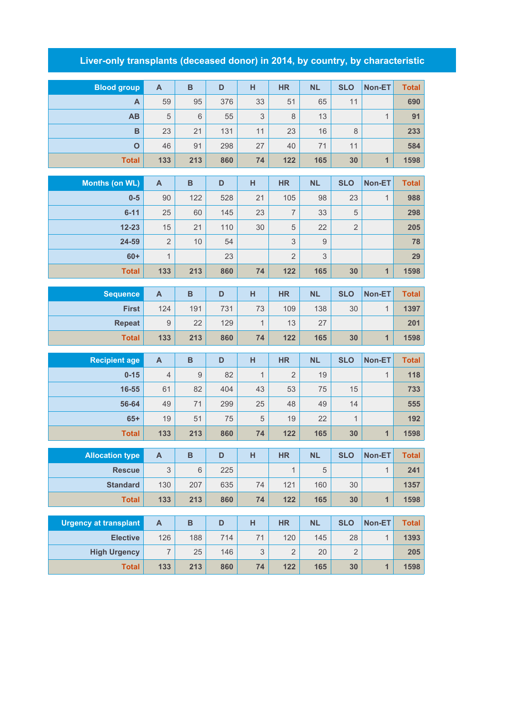## **Liver-only transplants (deceased donor) in 2014, by country, by characteristic**

| <b>Blood group</b>           | $\mathbf{A}$              | B              | D   | H            | <b>HR</b>      | <b>NL</b> | <b>SLO</b>     | Non-ET                  | <b>Total</b> |
|------------------------------|---------------------------|----------------|-----|--------------|----------------|-----------|----------------|-------------------------|--------------|
| A                            | 59                        | 95             | 376 | 33           | 51             | 65        | 11             |                         | 690          |
| AB                           | 5                         | 6              | 55  | 3            | 8              | 13        |                | $\mathbf{1}$            | 91           |
| $\mathbf B$                  | 23                        | 21             | 131 | 11           | 23             | 16        | 8              |                         | 233          |
| $\overline{O}$               | 46                        | 91             | 298 | 27           | 40             | 71        | 11             |                         | 584          |
| <b>Total</b>                 | 133                       | 213            | 860 | 74           | 122            | 165       | 30             | $\overline{\mathbf{1}}$ | 1598         |
|                              |                           |                |     |              |                |           |                |                         |              |
| <b>Months (on WL)</b>        | $\boldsymbol{\mathsf{A}}$ | $\overline{B}$ | D   | H            | <b>HR</b>      | <b>NL</b> | <b>SLO</b>     | Non-ET                  | <b>Total</b> |
| $0-5$                        | 90                        | 122            | 528 | 21           | 105            | 98        | 23             | $\mathbf{1}$            | 988          |
| $6 - 11$                     | 25                        | 60             | 145 | 23           | $\overline{7}$ | 33        | 5              |                         | 298          |
| $12 - 23$                    | 15                        | 21             | 110 | 30           | 5              | 22        | $\overline{2}$ |                         | 205          |
| 24-59                        | $\overline{2}$            | 10             | 54  |              | 3              | $9$       |                |                         | 78           |
| $60+$                        | $\mathbf{1}$              |                | 23  |              | $\overline{2}$ | 3         |                |                         | 29           |
| <b>Total</b>                 | 133                       | 213            | 860 | 74           | 122            | 165       | 30             | $\overline{1}$          | 1598         |
| <b>Sequence</b>              | $\mathsf{A}$              | $\overline{B}$ | D   | H            | <b>HR</b>      | <b>NL</b> | <b>SLO</b>     | Non-ET                  | <b>Total</b> |
| <b>First</b>                 | 124                       | 191            | 731 | 73           | 109            | 138       | 30             | $\mathbf{1}$            | 1397         |
| <b>Repeat</b>                | 9                         | 22             | 129 | $\mathbf{1}$ | 13             | 27        |                |                         | 201          |
| <b>Total</b>                 | 133                       | 213            | 860 | 74           | 122            | 165       | 30             | 1                       | 1598         |
|                              |                           |                |     |              |                |           |                |                         |              |
| <b>Recipient age</b>         | $\mathsf{A}$              | $\overline{B}$ | D   | H            | <b>HR</b>      | <b>NL</b> | <b>SLO</b>     | Non-ET                  | <b>Total</b> |
| $0 - 15$                     | $\overline{4}$            | $\overline{9}$ | 82  | $\mathbf{1}$ | $\overline{2}$ | 19        |                | $\mathbf{1}$            | 118          |
| 16-55                        | 61                        | 82             | 404 | 43           | 53             | 75        | 15             |                         | 733          |
| 56-64                        | 49                        | 71             | 299 | 25           | 48             | 49        | 14             |                         | 555          |
| $65+$                        | 19                        | 51             | 75  | 5            | 19             | 22        | $\mathbf{1}$   |                         | 192          |
| <b>Total</b>                 | 133                       | 213            | 860 | 74           | 122            | 165       | 30             | $\overline{1}$          | 1598         |
| <b>Allocation type</b>       | $\boldsymbol{\mathsf{A}}$ | B              | D   | H            | HR             | <b>NL</b> | <b>SLO</b>     | Non-ET                  | Total        |
| <b>Rescue</b>                | 3                         | $\,6\,$        | 225 |              | $\overline{1}$ | 5         |                | $\mathbf{1}$            | 241          |
| <b>Standard</b>              | 130                       | 207            | 635 | 74           | 121            | 160       | 30             |                         | 1357         |
| <b>Total</b>                 | 133                       | 213            | 860 | 74           | 122            | 165       | 30             | $\mathbf{1}$            | 1598         |
|                              |                           |                |     |              |                |           |                |                         |              |
| <b>Urgency at transplant</b> | $\boldsymbol{\mathsf{A}}$ | B              | D   | H            | <b>HR</b>      | <b>NL</b> | <b>SLO</b>     | Non-ET                  | <b>Total</b> |
| <b>Elective</b>              | 126                       | 188            | 714 | 71           | 120            | 145       | 28             | $\mathbf{1}$            | 1393         |
| <b>High Urgency</b>          | $\overline{\mathcal{I}}$  | 25             | 146 | 3            | $\sqrt{2}$     | 20        | $\overline{2}$ |                         | 205          |
| <b>Total</b>                 | 133                       | 213            | 860 | 74           | 122            | 165       | 30             | $\mathbf{1}$            | 1598         |